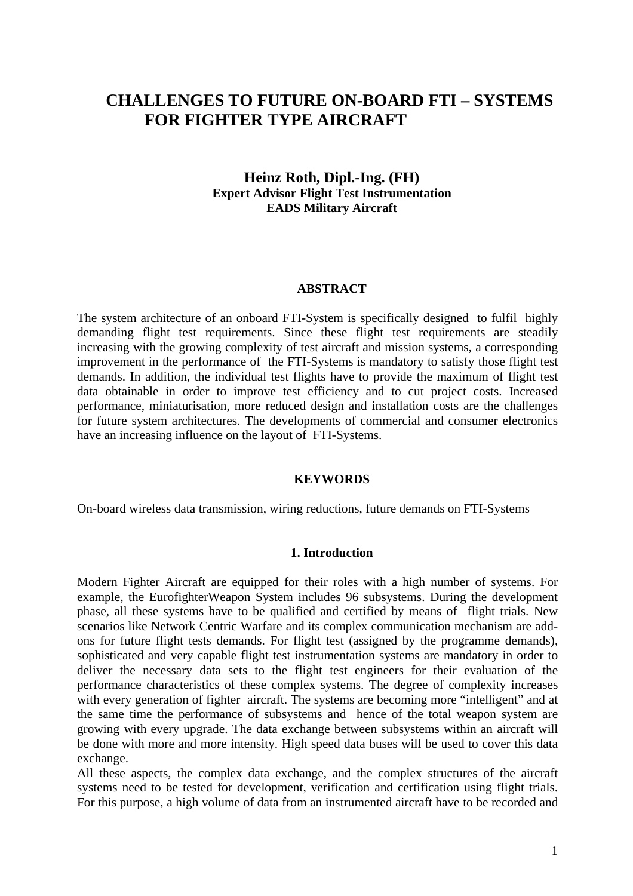# **CHALLENGES TO FUTURE ON-BOARD FTI – SYSTEMS FOR FIGHTER TYPE AIRCRAFT**

## **Heinz Roth, Dipl.-Ing. (FH) Expert Advisor Flight Test Instrumentation EADS Military Aircraft**

#### **ABSTRACT**

The system architecture of an onboard FTI-System is specifically designed to fulfil highly demanding flight test requirements. Since these flight test requirements are steadily increasing with the growing complexity of test aircraft and mission systems, a corresponding improvement in the performance of the FTI-Systems is mandatory to satisfy those flight test demands. In addition, the individual test flights have to provide the maximum of flight test data obtainable in order to improve test efficiency and to cut project costs. Increased performance, miniaturisation, more reduced design and installation costs are the challenges for future system architectures. The developments of commercial and consumer electronics have an increasing influence on the layout of FTI-Systems.

#### **KEYWORDS**

On-board wireless data transmission, wiring reductions, future demands on FTI-Systems

#### **1. Introduction**

Modern Fighter Aircraft are equipped for their roles with a high number of systems. For example, the EurofighterWeapon System includes 96 subsystems. During the development phase, all these systems have to be qualified and certified by means of flight trials. New scenarios like Network Centric Warfare and its complex communication mechanism are addons for future flight tests demands. For flight test (assigned by the programme demands), sophisticated and very capable flight test instrumentation systems are mandatory in order to deliver the necessary data sets to the flight test engineers for their evaluation of the performance characteristics of these complex systems. The degree of complexity increases with every generation of fighter aircraft. The systems are becoming more "intelligent" and at the same time the performance of subsystems and hence of the total weapon system are growing with every upgrade. The data exchange between subsystems within an aircraft will be done with more and more intensity. High speed data buses will be used to cover this data exchange.

All these aspects, the complex data exchange, and the complex structures of the aircraft systems need to be tested for development, verification and certification using flight trials. For this purpose, a high volume of data from an instrumented aircraft have to be recorded and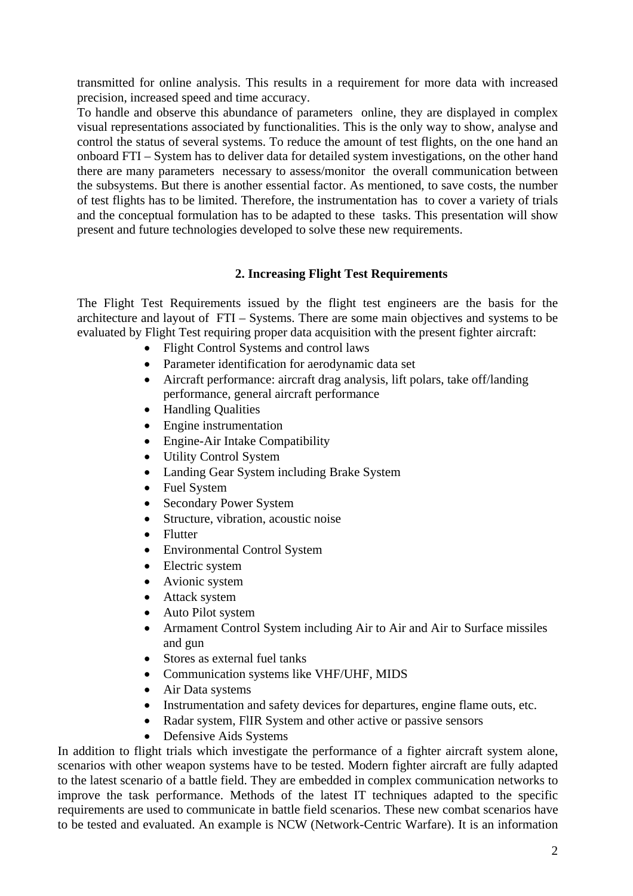transmitted for online analysis. This results in a requirement for more data with increased precision, increased speed and time accuracy.

To handle and observe this abundance of parameters online, they are displayed in complex visual representations associated by functionalities. This is the only way to show, analyse and control the status of several systems. To reduce the amount of test flights, on the one hand an onboard FTI – System has to deliver data for detailed system investigations, on the other hand there are many parameters necessary to assess/monitor the overall communication between the subsystems. But there is another essential factor. As mentioned, to save costs, the number of test flights has to be limited. Therefore, the instrumentation has to cover a variety of trials and the conceptual formulation has to be adapted to these tasks. This presentation will show present and future technologies developed to solve these new requirements.

## **2. Increasing Flight Test Requirements**

The Flight Test Requirements issued by the flight test engineers are the basis for the architecture and layout of FTI – Systems. There are some main objectives and systems to be evaluated by Flight Test requiring proper data acquisition with the present fighter aircraft:

- Flight Control Systems and control laws
- Parameter identification for aerodynamic data set
- Aircraft performance: aircraft drag analysis, lift polars, take off/landing performance, general aircraft performance
- Handling Qualities
- Engine instrumentation
- Engine-Air Intake Compatibility
- Utility Control System
- Landing Gear System including Brake System
- Fuel System
- Secondary Power System
- Structure, vibration, acoustic noise
- Flutter
- Environmental Control System
- Electric system
- Avionic system
- Attack system
- Auto Pilot system
- Armament Control System including Air to Air and Air to Surface missiles and gun
- Stores as external fuel tanks
- Communication systems like VHF/UHF, MIDS
- Air Data systems
- Instrumentation and safety devices for departures, engine flame outs, etc.
- Radar system, FlIR System and other active or passive sensors
- Defensive Aids Systems

In addition to flight trials which investigate the performance of a fighter aircraft system alone, scenarios with other weapon systems have to be tested. Modern fighter aircraft are fully adapted to the latest scenario of a battle field. They are embedded in complex communication networks to improve the task performance. Methods of the latest IT techniques adapted to the specific requirements are used to communicate in battle field scenarios. These new combat scenarios have to be tested and evaluated. An example is NCW (Network-Centric Warfare). It is an information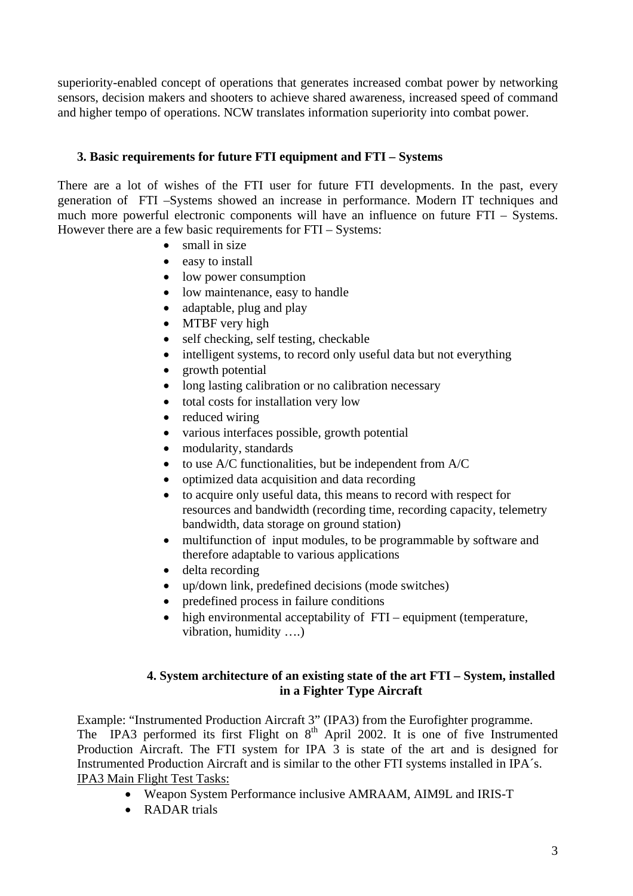superiority-enabled concept of operations that generates increased combat power by networking sensors, decision makers and shooters to achieve shared awareness, increased speed of command and higher tempo of operations. NCW translates information superiority into combat power.

## **3. Basic requirements for future FTI equipment and FTI – Systems**

There are a lot of wishes of the FTI user for future FTI developments. In the past, every generation of FTI –Systems showed an increase in performance. Modern IT techniques and much more powerful electronic components will have an influence on future FTI – Systems. However there are a few basic requirements for FTI – Systems:

- small in size
- easy to install
- low power consumption
- low maintenance, easy to handle
- adaptable, plug and play
- MTBF very high
- self checking, self testing, checkable
- intelligent systems, to record only useful data but not everything
- growth potential
- long lasting calibration or no calibration necessary
- total costs for installation very low
- reduced wiring
- various interfaces possible, growth potential
- modularity, standards
- to use A/C functionalities, but be independent from A/C
- optimized data acquisition and data recording
- to acquire only useful data, this means to record with respect for resources and bandwidth (recording time, recording capacity, telemetry bandwidth, data storage on ground station)
- multifunction of input modules, to be programmable by software and therefore adaptable to various applications
- delta recording
- up/down link, predefined decisions (mode switches)
- predefined process in failure conditions
- high environmental acceptability of FTI equipment (temperature, vibration, humidity ….)

## **4. System architecture of an existing state of the art FTI – System, installed in a Fighter Type Aircraft**

Example: "Instrumented Production Aircraft 3" (IPA3) from the Eurofighter programme. The IPA3 performed its first Flight on  $8<sup>th</sup>$  April 2002. It is one of five Instrumented Production Aircraft. The FTI system for IPA 3 is state of the art and is designed for Instrumented Production Aircraft and is similar to the other FTI systems installed in IPA´s. IPA3 Main Flight Test Tasks:

- Weapon System Performance inclusive AMRAAM, AIM9L and IRIS-T
- RADAR trials

 $\mathbf{L}$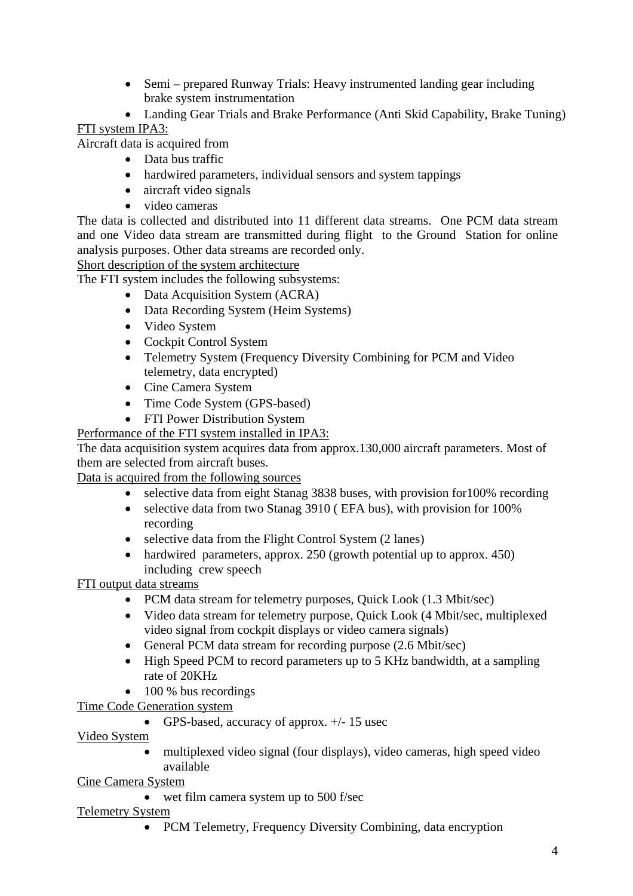- Semi prepared Runway Trials: Heavy instrumented landing gear including brake system instrumentation
- Landing Gear Trials and Brake Performance (Anti Skid Capability, Brake Tuning)

## FTI system IPA3:

Aircraft data is acquired from

- Data bus traffic
- hardwired parameters, individual sensors and system tappings
- aircraft video signals
- video cameras

The data is collected and distributed into 11 different data streams. One PCM data stream and one Video data stream are transmitted during flight to the Ground Station for online analysis purposes. Other data streams are recorded only.

Short description of the system architecture

The FTI system includes the following subsystems:

- Data Acquisition System (ACRA)
- Data Recording System (Heim Systems)
- Video System
- Cockpit Control System
- Telemetry System (Frequency Diversity Combining for PCM and Video) telemetry, data encrypted)
- Cine Camera System
- Time Code System (GPS-based)
- FTI Power Distribution System

Performance of the FTI system installed in IPA3:

The data acquisition system acquires data from approx.130,000 aircraft parameters. Most of them are selected from aircraft buses.

Data is acquired from the following sources

- selective data from eight Stanag 3838 buses, with provision for 100% recording
- selective data from two Stanag 3910 (EFA bus), with provision for 100% recording
- selective data from the Flight Control System (2 lanes)
- hardwired parameters, approx. 250 (growth potential up to approx. 450) including crew speech

FTI output data streams

- PCM data stream for telemetry purposes, Quick Look (1.3 Mbit/sec)
- Video data stream for telemetry purpose, Ouick Look (4 Mbit/sec, multiplexed video signal from cockpit displays or video camera signals)
- General PCM data stream for recording purpose (2.6 Mbit/sec)
- High Speed PCM to record parameters up to 5 KHz bandwidth, at a sampling rate of 20KHz
- 100 % bus recordings
- Time Code Generation system
	- GPS-based, accuracy of approx.  $+/- 15$  usec

Video System

• multiplexed video signal (four displays), video cameras, high speed video available

Cine Camera System

• wet film camera system up to 500 f/sec

## Telemetry System

• PCM Telemetry, Frequency Diversity Combining, data encryption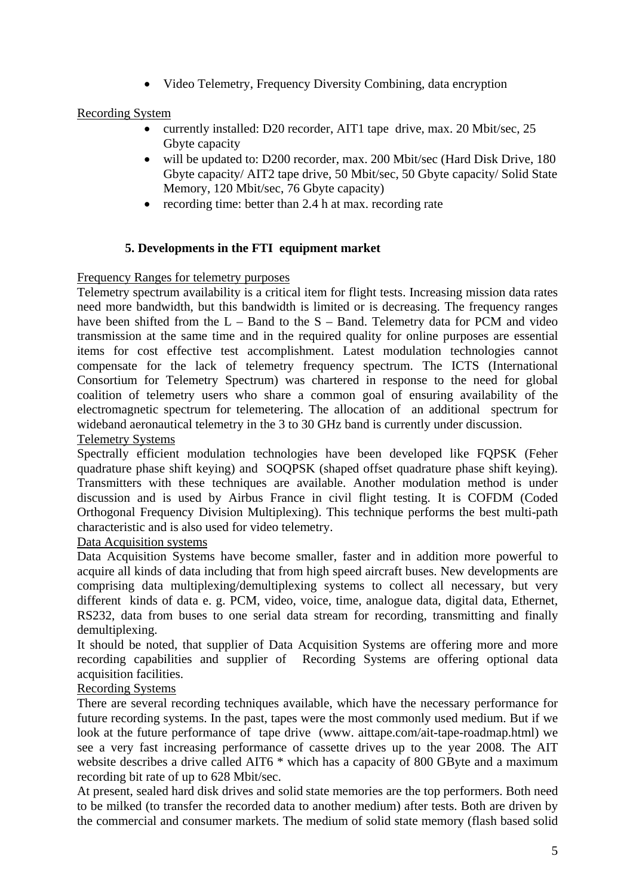• Video Telemetry, Frequency Diversity Combining, data encryption

## Recording System

- currently installed: D20 recorder, AIT1 tape drive, max. 20 Mbit/sec, 25 Gbyte capacity
- will be updated to: D200 recorder, max. 200 Mbit/sec (Hard Disk Drive, 180 Gbyte capacity/ AIT2 tape drive, 50 Mbit/sec, 50 Gbyte capacity/ Solid State Memory, 120 Mbit/sec, 76 Gbyte capacity)
- recording time: better than 2.4 h at max. recording rate

## **5. Developments in the FTI equipment market**

Frequency Ranges for telemetry purposes

Telemetry spectrum availability is a critical item for flight tests. Increasing mission data rates need more bandwidth, but this bandwidth is limited or is decreasing. The frequency ranges have been shifted from the L – Band to the S – Band. Telemetry data for PCM and video transmission at the same time and in the required quality for online purposes are essential items for cost effective test accomplishment. Latest modulation technologies cannot compensate for the lack of telemetry frequency spectrum. The ICTS (International Consortium for Telemetry Spectrum) was chartered in response to the need for global coalition of telemetry users who share a common goal of ensuring availability of the electromagnetic spectrum for telemetering. The allocation of an additional spectrum for wideband aeronautical telemetry in the 3 to 30 GHz band is currently under discussion.

#### Telemetry Systems

Spectrally efficient modulation technologies have been developed like FQPSK (Feher quadrature phase shift keying) and SOQPSK (shaped offset quadrature phase shift keying). Transmitters with these techniques are available. Another modulation method is under discussion and is used by Airbus France in civil flight testing. It is COFDM (Coded Orthogonal Frequency Division Multiplexing). This technique performs the best multi-path characteristic and is also used for video telemetry.

## Data Acquisition systems

Data Acquisition Systems have become smaller, faster and in addition more powerful to acquire all kinds of data including that from high speed aircraft buses. New developments are comprising data multiplexing/demultiplexing systems to collect all necessary, but very different kinds of data e. g. PCM, video, voice, time, analogue data, digital data, Ethernet, RS232, data from buses to one serial data stream for recording, transmitting and finally demultiplexing.

It should be noted, that supplier of Data Acquisition Systems are offering more and more recording capabilities and supplier of Recording Systems are offering optional data acquisition facilities.

#### Recording Systems

There are several recording techniques available, which have the necessary performance for future recording systems. In the past, tapes were the most commonly used medium. But if we look at the future performance of tape drive (www. aittape.com/ait-tape-roadmap.html) we see a very fast increasing performance of cassette drives up to the year 2008. The AIT website describes a drive called AIT6  $*$  which has a capacity of 800 GByte and a maximum recording bit rate of up to 628 Mbit/sec.

At present, sealed hard disk drives and solid state memories are the top performers. Both need to be milked (to transfer the recorded data to another medium) after tests. Both are driven by the commercial and consumer markets. The medium of solid state memory (flash based solid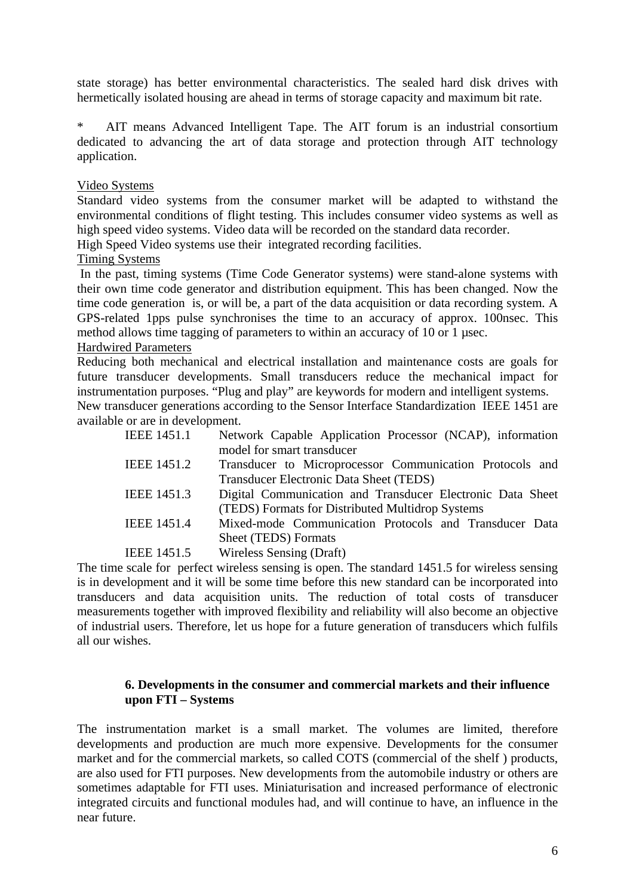state storage) has better environmental characteristics. The sealed hard disk drives with hermetically isolated housing are ahead in terms of storage capacity and maximum bit rate.

\* AIT means Advanced Intelligent Tape. The AIT forum is an industrial consortium dedicated to advancing the art of data storage and protection through AIT technology application.

## Video Systems

Standard video systems from the consumer market will be adapted to withstand the environmental conditions of flight testing. This includes consumer video systems as well as high speed video systems. Video data will be recorded on the standard data recorder.

High Speed Video systems use their integrated recording facilities.

#### Timing Systems

 In the past, timing systems (Time Code Generator systems) were stand-alone systems with their own time code generator and distribution equipment. This has been changed. Now the time code generation is, or will be, a part of the data acquisition or data recording system. A GPS-related 1pps pulse synchronises the time to an accuracy of approx. 100nsec. This method allows time tagging of parameters to within an accuracy of 10 or 1 usec.

#### Hardwired Parameters

 Reducing both mechanical and electrical installation and maintenance costs are goals for future transducer developments. Small transducers reduce the mechanical impact for instrumentation purposes. "Plug and play" are keywords for modern and intelligent systems. New transducer generations according to the Sensor Interface Standardization IEEE 1451 are

available or are in development.

| <b>IEEE 1451.1</b> | Network Capable Application Processor (NCAP), information  |
|--------------------|------------------------------------------------------------|
|                    | model for smart transducer                                 |
| IEEE 1451.2        | Transducer to Microprocessor Communication Protocols and   |
|                    | Transducer Electronic Data Sheet (TEDS)                    |
| <b>IEEE 1451.3</b> | Digital Communication and Transducer Electronic Data Sheet |
|                    | (TEDS) Formats for Distributed Multidrop Systems           |
| <b>IEEE 1451.4</b> | Mixed-mode Communication Protocols and Transducer Data     |
|                    | Sheet (TEDS) Formats                                       |
| IEEE 1451.5        | Wireless Sensing (Draft)                                   |

The time scale for perfect wireless sensing is open. The standard 1451.5 for wireless sensing is in development and it will be some time before this new standard can be incorporated into transducers and data acquisition units. The reduction of total costs of transducer measurements together with improved flexibility and reliability will also become an objective of industrial users. Therefore, let us hope for a future generation of transducers which fulfils all our wishes.

#### **6. Developments in the consumer and commercial markets and their influence upon FTI – Systems**

The instrumentation market is a small market. The volumes are limited, therefore developments and production are much more expensive. Developments for the consumer market and for the commercial markets, so called COTS (commercial of the shelf ) products, are also used for FTI purposes. New developments from the automobile industry or others are sometimes adaptable for FTI uses. Miniaturisation and increased performance of electronic integrated circuits and functional modules had, and will continue to have, an influence in the near future.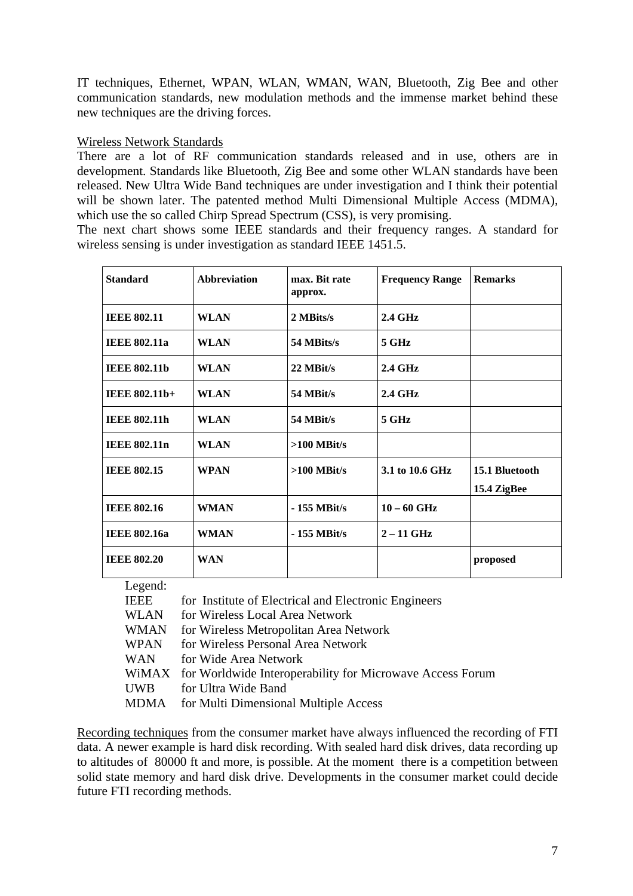IT techniques, Ethernet, WPAN, WLAN, WMAN, WAN, Bluetooth, Zig Bee and other communication standards, new modulation methods and the immense market behind these new techniques are the driving forces.

## Wireless Network Standards

There are a lot of RF communication standards released and in use, others are in development. Standards like Bluetooth, Zig Bee and some other WLAN standards have been released. New Ultra Wide Band techniques are under investigation and I think their potential will be shown later. The patented method Multi Dimensional Multiple Access (MDMA), which use the so called Chirp Spread Spectrum (CSS), is very promising.

The next chart shows some IEEE standards and their frequency ranges. A standard for wireless sensing is under investigation as standard IEEE 1451.5.

| <b>Standard</b>     | <b>Abbreviation</b> | max. Bit rate<br>approx. | <b>Frequency Range</b> | <b>Remarks</b>                |
|---------------------|---------------------|--------------------------|------------------------|-------------------------------|
| <b>IEEE 802.11</b>  | <b>WLAN</b>         | 2 MBits/s                | <b>2.4 GHz</b>         |                               |
| <b>IEEE 802.11a</b> | <b>WLAN</b>         | 54 MBits/s               | $5$ GHz                |                               |
| <b>IEEE 802.11b</b> | <b>WLAN</b>         | 22 MBit/s                | $2.4 \text{ GHz}$      |                               |
| IEEE 802.11b+       | <b>WLAN</b>         | 54 MBit/s                | <b>2.4 GHz</b>         |                               |
| <b>IEEE 802.11h</b> | <b>WLAN</b>         | 54 MBit/s                | 5 GHz                  |                               |
| <b>IEEE 802.11n</b> | <b>WLAN</b>         | $>100$ MBit/s            |                        |                               |
| <b>IEEE 802.15</b>  | <b>WPAN</b>         | $>100$ MBit/s            | 3.1 to 10.6 GHz        | 15.1 Bluetooth<br>15.4 ZigBee |
| <b>IEEE 802.16</b>  | <b>WMAN</b>         | $-155$ MBit/s            | $10 - 60$ GHz          |                               |
| <b>IEEE 802.16a</b> | <b>WMAN</b>         | $-155$ MBit/s            | $2 - 11$ GHz           |                               |
| <b>IEEE 802.20</b>  | <b>WAN</b>          |                          |                        | proposed                      |

Legend:

| IEEE        | for Institute of Electrical and Electronic Engineers            |
|-------------|-----------------------------------------------------------------|
| <b>WLAN</b> | for Wireless Local Area Network                                 |
| <b>WMAN</b> | for Wireless Metropolitan Area Network                          |
| <b>WPAN</b> | for Wireless Personal Area Network                              |
| <b>WAN</b>  | for Wide Area Network                                           |
|             | WiMAX for Worldwide Interoperability for Microwave Access Forum |
| <b>UWB</b>  | for Ultra Wide Band                                             |
| <b>MDMA</b> | for Multi Dimensional Multiple Access                           |

Recording techniques from the consumer market have always influenced the recording of FTI data. A newer example is hard disk recording. With sealed hard disk drives, data recording up to altitudes of 80000 ft and more, is possible. At the moment there is a competition between solid state memory and hard disk drive. Developments in the consumer market could decide future FTI recording methods.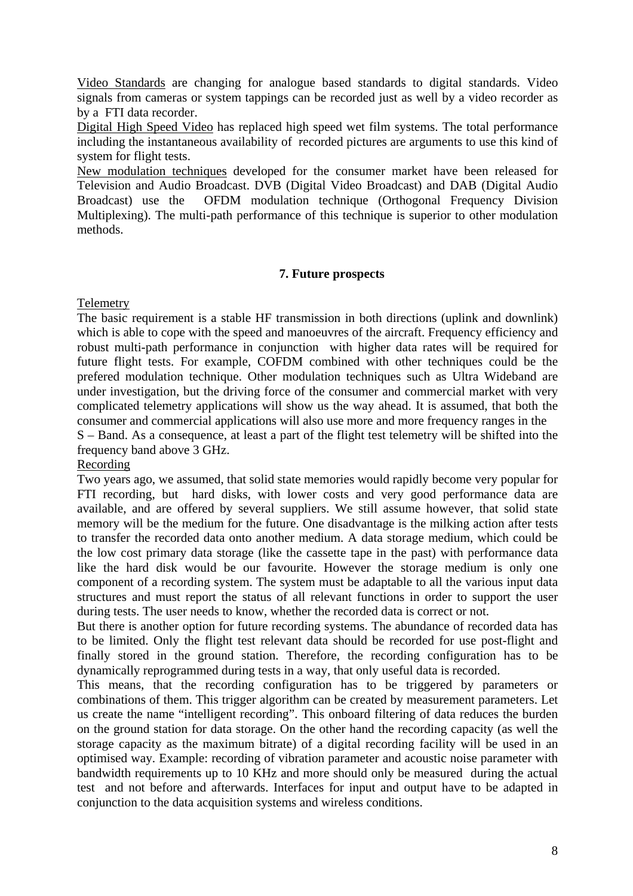Video Standards are changing for analogue based standards to digital standards. Video signals from cameras or system tappings can be recorded just as well by a video recorder as by a FTI data recorder.

Digital High Speed Video has replaced high speed wet film systems. The total performance including the instantaneous availability of recorded pictures are arguments to use this kind of system for flight tests.

New modulation techniques developed for the consumer market have been released for Television and Audio Broadcast. DVB (Digital Video Broadcast) and DAB (Digital Audio Broadcast) use the OFDM modulation technique (Orthogonal Frequency Division Multiplexing). The multi-path performance of this technique is superior to other modulation methods.

## **7. Future prospects**

#### Telemetry

The basic requirement is a stable HF transmission in both directions (uplink and downlink) which is able to cope with the speed and manoeuvres of the aircraft. Frequency efficiency and robust multi-path performance in conjunction with higher data rates will be required for future flight tests. For example, COFDM combined with other techniques could be the prefered modulation technique. Other modulation techniques such as Ultra Wideband are under investigation, but the driving force of the consumer and commercial market with very complicated telemetry applications will show us the way ahead. It is assumed, that both the consumer and commercial applications will also use more and more frequency ranges in the S – Band. As a consequence, at least a part of the flight test telemetry will be shifted into the frequency band above 3 GHz.

#### Recording

Two years ago, we assumed, that solid state memories would rapidly become very popular for FTI recording, but hard disks, with lower costs and very good performance data are available, and are offered by several suppliers. We still assume however, that solid state memory will be the medium for the future. One disadvantage is the milking action after tests to transfer the recorded data onto another medium. A data storage medium, which could be the low cost primary data storage (like the cassette tape in the past) with performance data like the hard disk would be our favourite. However the storage medium is only one component of a recording system. The system must be adaptable to all the various input data structures and must report the status of all relevant functions in order to support the user during tests. The user needs to know, whether the recorded data is correct or not.

But there is another option for future recording systems. The abundance of recorded data has to be limited. Only the flight test relevant data should be recorded for use post-flight and finally stored in the ground station. Therefore, the recording configuration has to be dynamically reprogrammed during tests in a way, that only useful data is recorded.

This means, that the recording configuration has to be triggered by parameters or combinations of them. This trigger algorithm can be created by measurement parameters. Let us create the name "intelligent recording". This onboard filtering of data reduces the burden on the ground station for data storage. On the other hand the recording capacity (as well the storage capacity as the maximum bitrate) of a digital recording facility will be used in an optimised way. Example: recording of vibration parameter and acoustic noise parameter with bandwidth requirements up to 10 KHz and more should only be measured during the actual test and not before and afterwards. Interfaces for input and output have to be adapted in conjunction to the data acquisition systems and wireless conditions.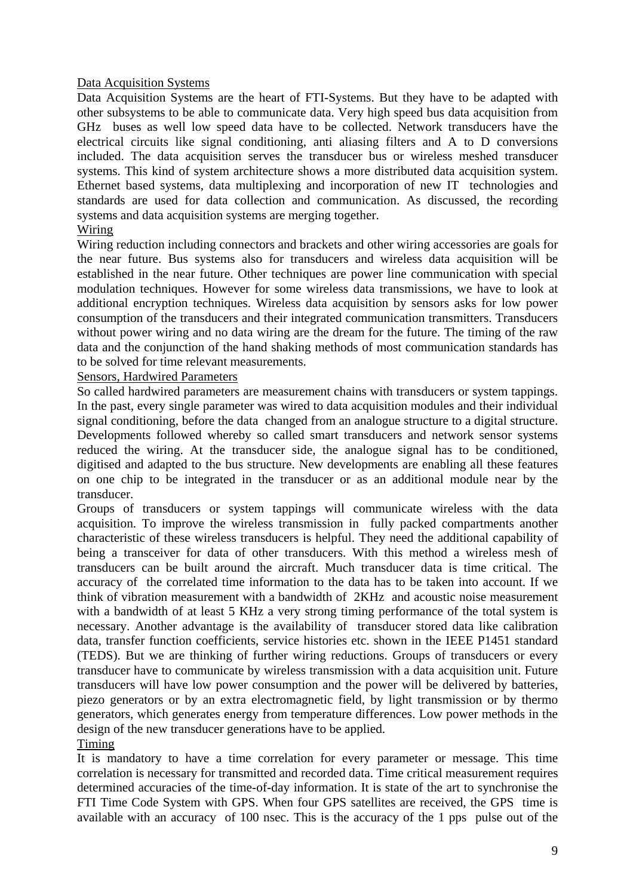## Data Acquisition Systems

Data Acquisition Systems are the heart of FTI-Systems. But they have to be adapted with other subsystems to be able to communicate data. Very high speed bus data acquisition from GHz buses as well low speed data have to be collected. Network transducers have the electrical circuits like signal conditioning, anti aliasing filters and A to D conversions included. The data acquisition serves the transducer bus or wireless meshed transducer systems. This kind of system architecture shows a more distributed data acquisition system. Ethernet based systems, data multiplexing and incorporation of new IT technologies and standards are used for data collection and communication. As discussed, the recording systems and data acquisition systems are merging together.

## Wiring

Wiring reduction including connectors and brackets and other wiring accessories are goals for the near future. Bus systems also for transducers and wireless data acquisition will be established in the near future. Other techniques are power line communication with special modulation techniques. However for some wireless data transmissions, we have to look at additional encryption techniques. Wireless data acquisition by sensors asks for low power consumption of the transducers and their integrated communication transmitters. Transducers without power wiring and no data wiring are the dream for the future. The timing of the raw data and the conjunction of the hand shaking methods of most communication standards has to be solved for time relevant measurements.

#### Sensors, Hardwired Parameters

So called hardwired parameters are measurement chains with transducers or system tappings. In the past, every single parameter was wired to data acquisition modules and their individual signal conditioning, before the data changed from an analogue structure to a digital structure. Developments followed whereby so called smart transducers and network sensor systems reduced the wiring. At the transducer side, the analogue signal has to be conditioned, digitised and adapted to the bus structure. New developments are enabling all these features on one chip to be integrated in the transducer or as an additional module near by the transducer.

Groups of transducers or system tappings will communicate wireless with the data acquisition. To improve the wireless transmission in fully packed compartments another characteristic of these wireless transducers is helpful. They need the additional capability of being a transceiver for data of other transducers. With this method a wireless mesh of transducers can be built around the aircraft. Much transducer data is time critical. The accuracy of the correlated time information to the data has to be taken into account. If we think of vibration measurement with a bandwidth of 2KHz and acoustic noise measurement with a bandwidth of at least 5 KHz a very strong timing performance of the total system is necessary. Another advantage is the availability of transducer stored data like calibration data, transfer function coefficients, service histories etc. shown in the IEEE P1451 standard (TEDS). But we are thinking of further wiring reductions. Groups of transducers or every transducer have to communicate by wireless transmission with a data acquisition unit. Future transducers will have low power consumption and the power will be delivered by batteries, piezo generators or by an extra electromagnetic field, by light transmission or by thermo generators, which generates energy from temperature differences. Low power methods in the design of the new transducer generations have to be applied.

## Timing

It is mandatory to have a time correlation for every parameter or message. This time correlation is necessary for transmitted and recorded data. Time critical measurement requires determined accuracies of the time-of-day information. It is state of the art to synchronise the FTI Time Code System with GPS. When four GPS satellites are received, the GPS time is available with an accuracy of 100 nsec. This is the accuracy of the 1 pps pulse out of the